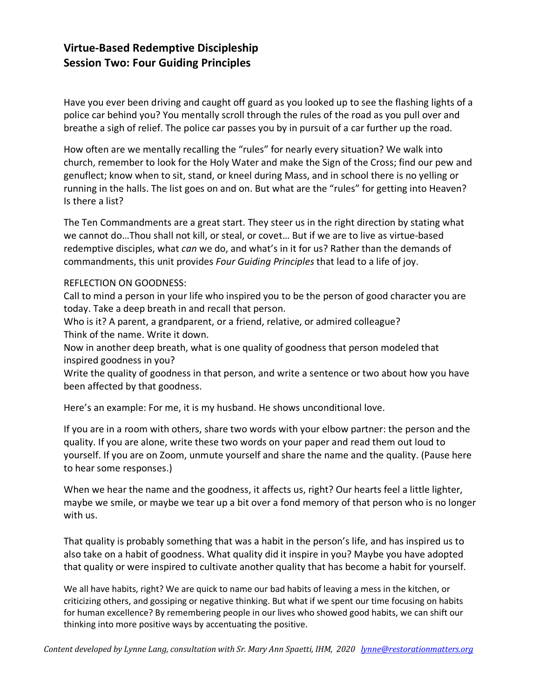# **Virtue-Based Redemptive Discipleship Session Two: Four Guiding Principles**

Have you ever been driving and caught off guard as you looked up to see the flashing lights of a police car behind you? You mentally scroll through the rules of the road as you pull over and breathe a sigh of relief. The police car passes you by in pursuit of a car further up the road.

How often are we mentally recalling the "rules" for nearly every situation? We walk into church, remember to look for the Holy Water and make the Sign of the Cross; find our pew and genuflect; know when to sit, stand, or kneel during Mass, and in school there is no yelling or running in the halls. The list goes on and on. But what are the "rules" for getting into Heaven? Is there a list?

The Ten Commandments are a great start. They steer us in the right direction by stating what we cannot do…Thou shall not kill, or steal, or covet… But if we are to live as virtue-based redemptive disciples, what *can* we do, and what's in it for us? Rather than the demands of commandments, this unit provides *Four Guiding Principles* that lead to a life of joy.

#### REFLECTION ON GOODNESS:

Call to mind a person in your life who inspired you to be the person of good character you are today. Take a deep breath in and recall that person.

Who is it? A parent, a grandparent, or a friend, relative, or admired colleague? Think of the name. Write it down.

Now in another deep breath, what is one quality of goodness that person modeled that inspired goodness in you?

Write the quality of goodness in that person, and write a sentence or two about how you have been affected by that goodness.

Here's an example: For me, it is my husband. He shows unconditional love.

If you are in a room with others, share two words with your elbow partner: the person and the quality. If you are alone, write these two words on your paper and read them out loud to yourself. If you are on Zoom, unmute yourself and share the name and the quality. (Pause here to hear some responses.)

When we hear the name and the goodness, it affects us, right? Our hearts feel a little lighter, maybe we smile, or maybe we tear up a bit over a fond memory of that person who is no longer with us.

That quality is probably something that was a habit in the person's life, and has inspired us to also take on a habit of goodness. What quality did it inspire in you? Maybe you have adopted that quality or were inspired to cultivate another quality that has become a habit for yourself.

We all have habits, right? We are quick to name our bad habits of leaving a mess in the kitchen, or criticizing others, and gossiping or negative thinking. But what if we spent our time focusing on habits for human excellence? By remembering people in our lives who showed good habits, we can shift our thinking into more positive ways by accentuating the positive.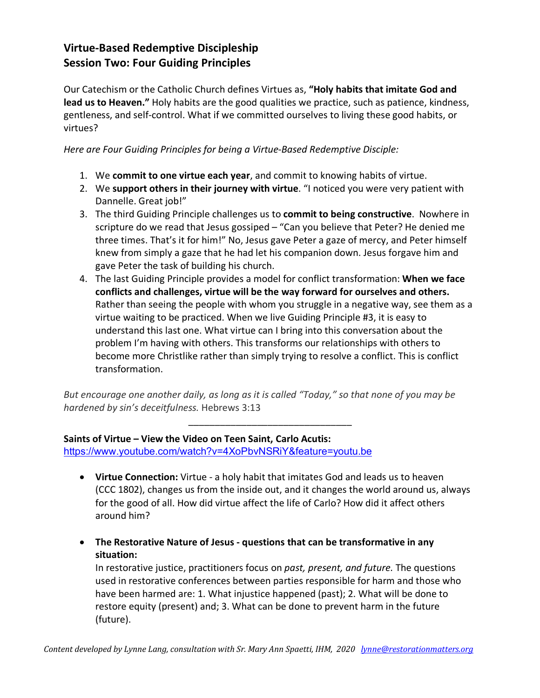# **Virtue-Based Redemptive Discipleship Session Two: Four Guiding Principles**

Our Catechism or the Catholic Church defines Virtues as, **"Holy habits that imitate God and lead us to Heaven."** Holy habits are the good qualities we practice, such as patience, kindness, gentleness, and self-control. What if we committed ourselves to living these good habits, or virtues?

*Here are Four Guiding Principles for being a Virtue-Based Redemptive Disciple:*

- 1. We **commit to one virtue each year**, and commit to knowing habits of virtue.
- 2. We **support others in their journey with virtue**. "I noticed you were very patient with Dannelle. Great job!"
- 3. The third Guiding Principle challenges us to **commit to being constructive**. Nowhere in scripture do we read that Jesus gossiped – "Can you believe that Peter? He denied me three times. That's it for him!" No, Jesus gave Peter a gaze of mercy, and Peter himself knew from simply a gaze that he had let his companion down. Jesus forgave him and gave Peter the task of building his church.
- 4. The last Guiding Principle provides a model for conflict transformation: **When we face conflicts and challenges, virtue will be the way forward for ourselves and others.**  Rather than seeing the people with whom you struggle in a negative way, see them as a virtue waiting to be practiced. When we live Guiding Principle #3, it is easy to understand this last one. What virtue can I bring into this conversation about the problem I'm having with others. This transforms our relationships with others to become more Christlike rather than simply trying to resolve a conflict. This is conflict transformation.

*But encourage one another daily, as long as it is called "Today," so that none of you may be hardened by sin's deceitfulness.* Hebrews 3:13

\_\_\_\_\_\_\_\_\_\_\_\_\_\_\_\_\_\_\_\_\_\_\_\_\_\_\_\_\_\_\_

**Saints of Virtue – View the Video on Teen Saint, Carlo Acutis:**  https://www.youtube.com/watch?v=4XoPbvNSRiY&feature=youtu.be

- **Virtue Connection:** Virtue a holy habit that imitates God and leads us to heaven (CCC 1802), changes us from the inside out, and it changes the world around us, always for the good of all. How did virtue affect the life of Carlo? How did it affect others around him?
- **The Restorative Nature of Jesus - questions that can be transformative in any situation:**

In restorative justice, practitioners focus on *past, present, and future.* The questions used in restorative conferences between parties responsible for harm and those who have been harmed are: 1. What injustice happened (past); 2. What will be done to restore equity (present) and; 3. What can be done to prevent harm in the future (future).